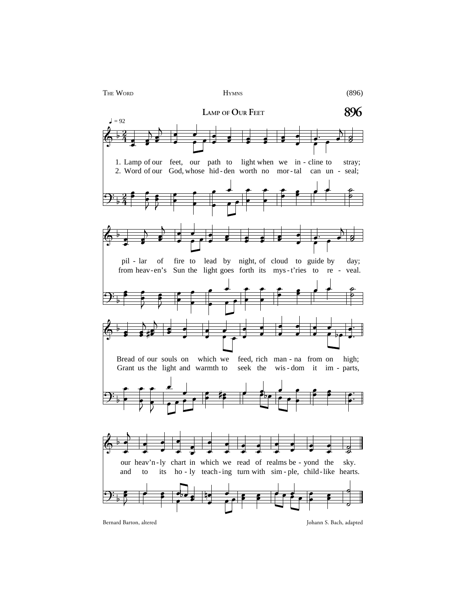

Bernard Barton, altered Johann S. Bach, adapted